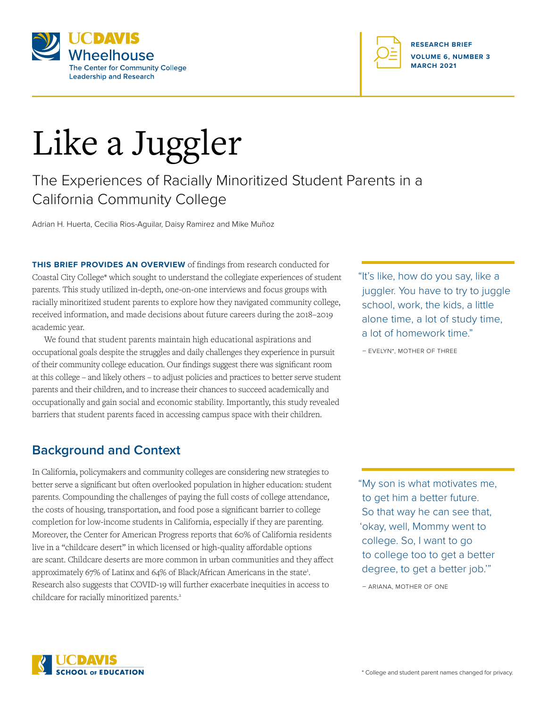



# Like a Juggler

# The Experiences of Racially Minoritized Student Parents in a California Community College

Adrian H. Huerta, Cecilia Rios-Aguilar, Daisy Ramirez and Mike Muñoz

**THIS BRIEF PROVIDES AN OVERVIEW** of findings from research conducted for Coastal City College\* which sought to understand the collegiate experiences of student parents. This study utilized in-depth, one-on-one interviews and focus groups with racially minoritized student parents to explore how they navigated community college, received information, and made decisions about future careers during the 2018–2019 academic year.

We found that student parents maintain high educational aspirations and occupational goals despite the struggles and daily challenges they experience in pursuit of their community college education. Our findings suggest there was significant room at this college – and likely others – to adjust policies and practices to better serve student parents and their children, and to increase their chances to succeed academically and occupationally and gain social and economic stability. Importantly, this study revealed barriers that student parents faced in accessing campus space with their children.

# **Background and Context**

In California, policymakers and community colleges are considering new strategies to better serve a significant but often overlooked population in higher education: student parents. Compounding the challenges of paying the full costs of college attendance, the costs of housing, transportation, and food pose a significant barrier to college completion for low-income students in California, especially if they are parenting. Moreover, the Center for American Progress reports that 60% of California residents live in a "childcare desert" in which licensed or high-quality affordable options are scant. Childcare deserts are more common in urban communities and they affect approximately 67% of Latinx and 64% of Black/African Americans in the state<sup>1</sup>. Research also suggests that COVID-19 will further exacerbate inequities in access to childcare for racially minoritized parents.<sup>2</sup>

"It's like, how do you say, like a juggler. You have to try to juggle school, work, the kids, a little alone time, a lot of study time, a lot of homework time."

– EVELYN\*, MOTHER OF THREE

"My son is what motivates me, to get him a better future. So that way he can see that, 'okay, well, Mommy went to college. So, I want to go to college too to get a better degree, to get a better job.'"

– ARIANA, MOTHER OF ONE

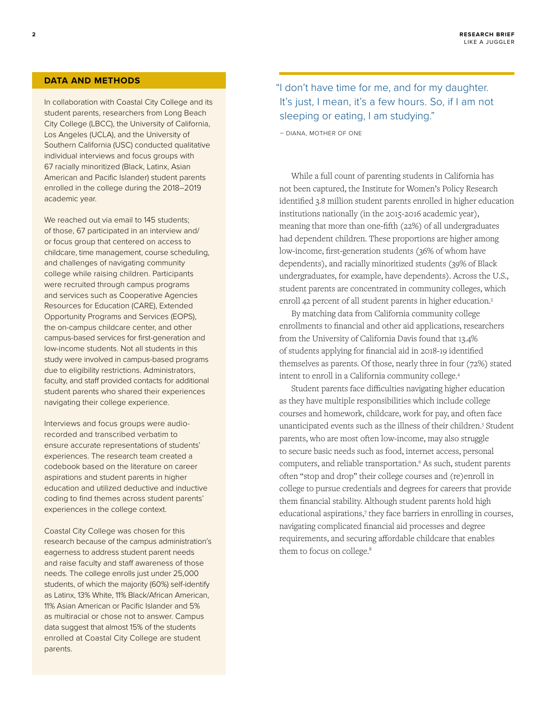#### **DATA AND METHODS**

In collaboration with Coastal City College and its student parents, researchers from Long Beach City College (LBCC), the University of California, Los Angeles (UCLA), and the University of Southern California (USC) conducted qualitative individual interviews and focus groups with 67 racially minoritized (Black, Latinx, Asian American and Pacific Islander) student parents enrolled in the college during the 2018–2019 academic year.

We reached out via email to 145 students; of those, 67 participated in an interview and/ or focus group that centered on access to childcare, time management, course scheduling, and challenges of navigating community college while raising children. Participants were recruited through campus programs and services such as Cooperative Agencies Resources for Education (CARE), Extended Opportunity Programs and Services (EOPS), the on-campus childcare center, and other campus-based services for first-generation and low-income students. Not all students in this study were involved in campus-based programs due to eligibility restrictions. Administrators, faculty, and staff provided contacts for additional student parents who shared their experiences navigating their college experience.

Interviews and focus groups were audiorecorded and transcribed verbatim to ensure accurate representations of students' experiences. The research team created a codebook based on the literature on career aspirations and student parents in higher education and utilized deductive and inductive coding to find themes across student parents' experiences in the college context.

Coastal City College was chosen for this research because of the campus administration's eagerness to address student parent needs and raise faculty and staff awareness of those needs. The college enrolls just under 25,000 students, of which the majority (60%) self-identify as Latinx, 13% White, 11% Black/African American, 11% Asian American or Pacific Islander and 5% as multiracial or chose not to answer. Campus data suggest that almost 15% of the students enrolled at Coastal City College are student parents.

## "I don't have time for me, and for my daughter. It's just, I mean, it's a few hours. So, if I am not sleeping or eating, I am studying."

– DIANA, MOTHER OF ONE

While a full count of parenting students in California has not been captured, the Institute for Women's Policy Research identified 3.8 million student parents enrolled in higher education institutions nationally (in the 2015-2016 academic year), meaning that more than one-fifth (22%) of all undergraduates had dependent children. These proportions are higher among low-income, first-generation students (36% of whom have dependents), and racially minoritized students (39% of Black undergraduates, for example, have dependents). Across the U.S., student parents are concentrated in community colleges, which enroll 42 percent of all student parents in higher education.<sup>3</sup>

By matching data from California community college enrollments to financial and other aid applications, researchers from the University of California Davis found that 13.4% of students applying for financial aid in 2018-19 identified themselves as parents. Of those, nearly three in four (72%) stated intent to enroll in a California community college.4

Student parents face difficulties navigating higher education as they have multiple responsibilities which include college courses and homework, childcare, work for pay, and often face unanticipated events such as the illness of their children.5 Student parents, who are most often low-income, may also struggle to secure basic needs such as food, internet access, personal computers, and reliable transportation.<sup>6</sup> As such, student parents often "stop and drop" their college courses and (re)enroll in college to pursue credentials and degrees for careers that provide them financial stability. Although student parents hold high educational aspirations,7 they face barriers in enrolling in courses, navigating complicated financial aid processes and degree requirements, and securing affordable childcare that enables them to focus on college.<sup>8</sup>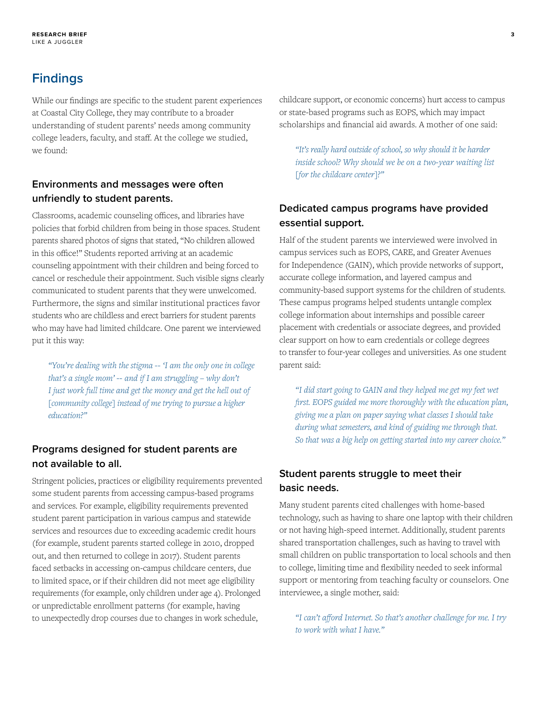# **Findings**

While our findings are specific to the student parent experiences at Coastal City College, they may contribute to a broader understanding of student parents' needs among community college leaders, faculty, and staff. At the college we studied, we found:

#### **Environments and messages were often unfriendly to student parents.**

Classrooms, academic counseling offices, and libraries have policies that forbid children from being in those spaces. Student parents shared photos of signs that stated, "No children allowed in this office!" Students reported arriving at an academic counseling appointment with their children and being forced to cancel or reschedule their appointment. Such visible signs clearly communicated to student parents that they were unwelcomed. Furthermore, the signs and similar institutional practices favor students who are childless and erect barriers for student parents who may have had limited childcare. One parent we interviewed put it this way:

*"You're dealing with the stigma -- 'I am the only one in college that's a single mom' -- and if I am struggling – why don't I just work full time and get the money and get the hell out of [community college] instead of me trying to pursue a higher education?"*

#### **Programs designed for student parents are not available to all.**

Stringent policies, practices or eligibility requirements prevented some student parents from accessing campus-based programs and services. For example, eligibility requirements prevented student parent participation in various campus and statewide services and resources due to exceeding academic credit hours (for example, student parents started college in 2010, dropped out, and then returned to college in 2017). Student parents faced setbacks in accessing on-campus childcare centers, due to limited space, or if their children did not meet age eligibility requirements (for example, only children under age 4). Prolonged or unpredictable enrollment patterns (for example, having to unexpectedly drop courses due to changes in work schedule,

childcare support, or economic concerns) hurt access to campus or state-based programs such as EOPS, which may impact scholarships and financial aid awards. A mother of one said:

*"It's really hard outside of school, so why should it be harder inside school? Why should we be on a two-year waiting list [for the childcare center]?"* 

## **Dedicated campus programs have provided essential support.**

Half of the student parents we interviewed were involved in campus services such as EOPS, CARE, and Greater Avenues for Independence (GAIN), which provide networks of support, accurate college information, and layered campus and community-based support systems for the children of students. These campus programs helped students untangle complex college information about internships and possible career placement with credentials or associate degrees, and provided clear support on how to earn credentials or college degrees to transfer to four-year colleges and universities. As one student parent said:

*"I did start going to GAIN and they helped me get my feet wet first. EOPS guided me more thoroughly with the education plan, giving me a plan on paper saying what classes I should take during what semesters, and kind of guiding me through that. So that was a big help on getting started into my career choice."*

#### **Student parents struggle to meet their basic needs.**

Many student parents cited challenges with home-based technology, such as having to share one laptop with their children or not having high-speed internet. Additionally, student parents shared transportation challenges, such as having to travel with small children on public transportation to local schools and then to college, limiting time and flexibility needed to seek informal support or mentoring from teaching faculty or counselors. One interviewee, a single mother, said:

*"I can't afford Internet. So that's another challenge for me. I try to work with what I have."*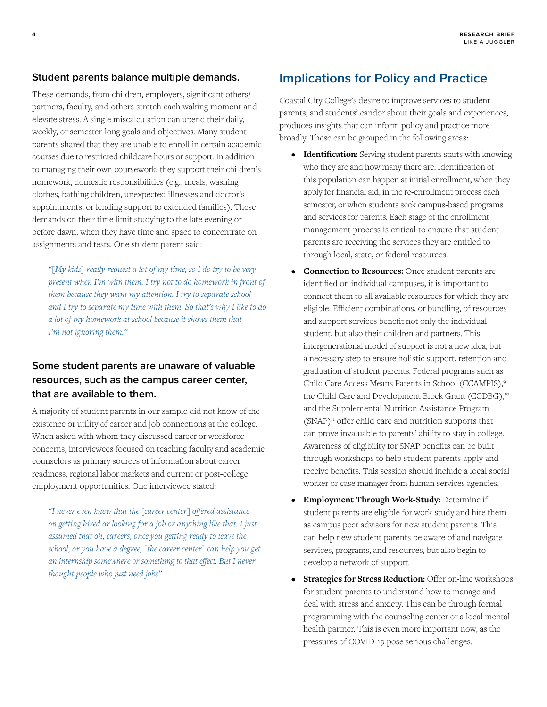#### **Student parents balance multiple demands.**

These demands, from children, employers, significant others/ partners, faculty, and others stretch each waking moment and elevate stress. A single miscalculation can upend their daily, weekly, or semester-long goals and objectives. Many student parents shared that they are unable to enroll in certain academic courses due to restricted childcare hours or support. In addition to managing their own coursework, they support their children's homework, domestic responsibilities (e.g., meals, washing clothes, bathing children, unexpected illnesses and doctor's appointments, or lending support to extended families). These demands on their time limit studying to the late evening or before dawn, when they have time and space to concentrate on assignments and tests. One student parent said:

*"[My kids] really request a lot of my time, so I do try to be very present when I'm with them. I try not to do homework in front of them because they want my attention. I try to separate school and I try to separate my time with them. So that's why I like to do a lot of my homework at school because it shows them that I'm not ignoring them."*

#### **Some student parents are unaware of valuable resources, such as the campus career center, that are available to them.**

A majority of student parents in our sample did not know of the existence or utility of career and job connections at the college. When asked with whom they discussed career or workforce concerns, interviewees focused on teaching faculty and academic counselors as primary sources of information about career readiness, regional labor markets and current or post-college employment opportunities. One interviewee stated:

*"I never even knew that the [career center] offered assistance on getting hired or looking for a job or anything like that. I just assumed that oh, careers, once you getting ready to leave the school, or you have a degree, [the career center] can help you get an internship somewhere or something to that effect. But I never thought people who just need jobs"*

# **Implications for Policy and Practice**

Coastal City College's desire to improve services to student parents, and students' candor about their goals and experiences, produces insights that can inform policy and practice more broadly. These can be grouped in the following areas:

- **Identification:** Serving student parents starts with knowing who they are and how many there are. Identification of this population can happen at initial enrollment, when they apply for financial aid, in the re-enrollment process each semester, or when students seek campus-based programs and services for parents. Each stage of the enrollment management process is critical to ensure that student parents are receiving the services they are entitled to through local, state, or federal resources.
- **Connection to Resources:** Once student parents are identified on individual campuses, it is important to connect them to all available resources for which they are eligible. Efficient combinations, or bundling, of resources and support services benefit not only the individual student, but also their children and partners. This intergenerational model of support is not a new idea, but a necessary step to ensure holistic support, retention and graduation of student parents. Federal programs such as Child Care Access Means Parents in School (CCAMPIS),9 the Child Care and Development Block Grant (CCDBG),<sup>10</sup> and the Supplemental Nutrition Assistance Program  $(SNAP)^n$  offer child care and nutrition supports that can prove invaluable to parents' ability to stay in college. Awareness of eligibility for SNAP benefits can be built through workshops to help student parents apply and receive benefits. This session should include a local social worker or case manager from human services agencies.
- **Employment Through Work-Study:** Determine if student parents are eligible for work-study and hire them as campus peer advisors for new student parents. This can help new student parents be aware of and navigate services, programs, and resources, but also begin to develop a network of support.
- **Strategies for Stress Reduction:** Offer on-line workshops for student parents to understand how to manage and deal with stress and anxiety. This can be through formal programming with the counseling center or a local mental health partner. This is even more important now, as the pressures of COVID-19 pose serious challenges.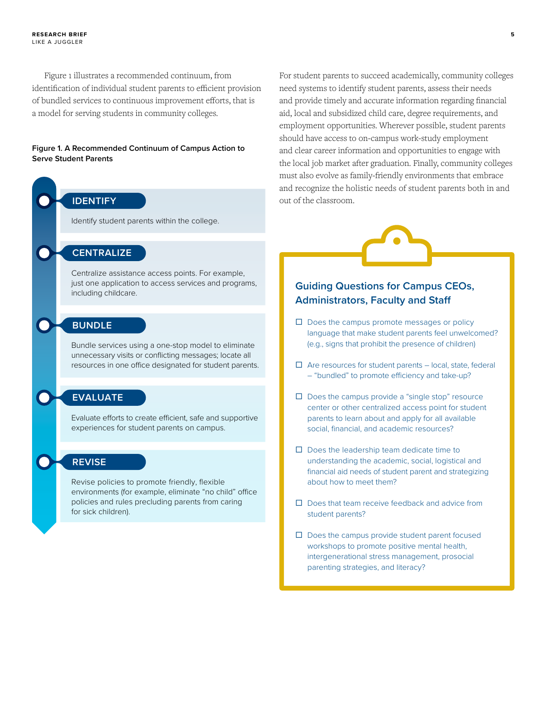Figure 1 illustrates a recommended continuum, from identification of individual student parents to efficient provision of bundled services to continuous improvement efforts, that is a model for serving students in community colleges.

#### **Figure 1. A Recommended Continuum of Campus Action to Serve Student Parents**



For student parents to succeed academically, community colleges need systems to identify student parents, assess their needs and provide timely and accurate information regarding financial aid, local and subsidized child care, degree requirements, and employment opportunities. Wherever possible, student parents should have access to on-campus work-study employment and clear career information and opportunities to engage with the local job market after graduation. Finally, community colleges must also evolve as family-friendly environments that embrace and recognize the holistic needs of student parents both in and out of the classroom.



#### **Guiding Questions for Campus CEOs, Administrators, Faculty and Staff**

- $\square$  Does the campus promote messages or policy language that make student parents feel unwelcomed? (e.g., signs that prohibit the presence of children)
- $\Box$  Are resources for student parents local, state, federal – "bundled" to promote efficiency and take-up?
- $\square$  Does the campus provide a "single stop" resource center or other centralized access point for student parents to learn about and apply for all available social, financial, and academic resources?
- $\Box$  Does the leadership team dedicate time to understanding the academic, social, logistical and financial aid needs of student parent and strategizing about how to meet them?
- $\square$  Does that team receive feedback and advice from student parents?
- $\square$  Does the campus provide student parent focused workshops to promote positive mental health, intergenerational stress management, prosocial parenting strategies, and literacy?